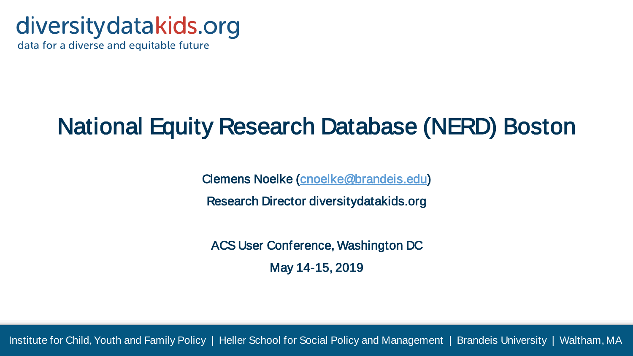## diversity datakids.org

data for a diverse and equitable future

## National Equity Research Database (NERD) Boston

Clemens Noelke [\(cnoelke@brandeis.edu\)](mailto:cnoelke@brandeis.edu)

Research Director diversitydatakids.org

ACS User Conference, Washington DC May 14-15, 2019

Institute for Child, Youth and Family Policy | Heller School for Social Policy and Management | Brandeis University | Waltham, MA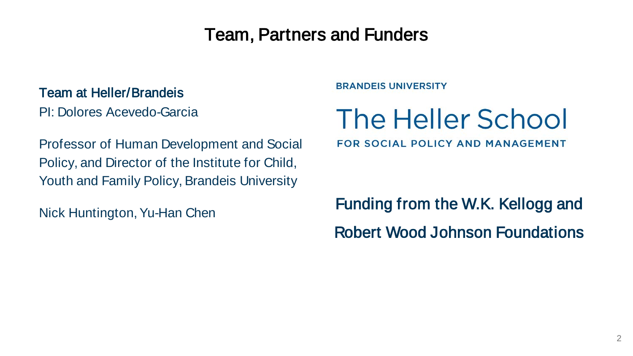### Team, Partners and Funders

#### Team at Heller/Brandeis

PI: Dolores Acevedo-Garcia

Professor of Human Development and Social Policy, and Director of the Institute for Child, Youth and Family Policy, Brandeis University

Nick Huntington, Yu-Han Chen

**BRANDEIS UNIVERSITY** 

# The Heller School

**FOR SOCIAL POLICY AND MANAGEMENT** 

Funding from the W.K. Kellogg and Robert Wood Johnson Foundations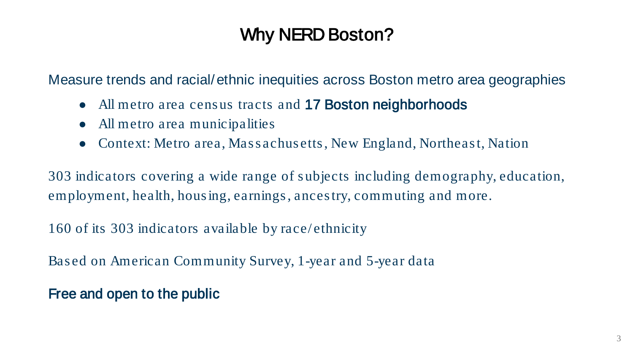### Why NERD Boston?

Measure trends and racial/ethnic inequities across Boston metro area geographies

- All metro area census tracts and 17 Boston neighborhoods
- All metro area municipalities
- Context: Metro area, Mass achus etts, New England, Northeast, Nation

303 indicators covering a wide range of s ubjects including demography, education, employment, health, hous ing, earnings , ances try, commuting and more.

160 of its 303 indicators available by race/ ethnicity

Bas ed on American Community Survey, 1-year and 5-year data

Free and open to the public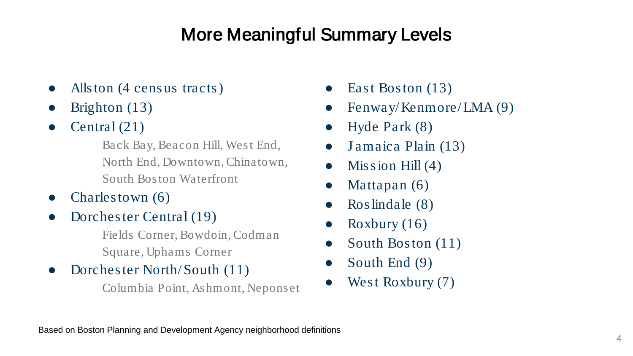### More Meaningful Summary Levels

- Alls ton (4 census tracts)
- Brighton  $(13)$
- Central  $(21)$

Back Bay, Beacon Hill, West End, North End, Downtown, Chinatown, South Boston Waterfront

- Charles town  $(6)$
- Dorchester Central (19)

Fields Corner, Bowdoin, Codman Square, Uphams Corner

Dorchester North/South (11)

Columbia Point, Ashmont, Neponset

- East Boston  $(13)$
- Fenway/Kenmore/LMA $(9)$
- Hyde Park  $(8)$
- Jamaica Plain (13)
- Mis s ion Hill  $(4)$
- Mattapan  $(6)$
- $R$ os lindale  $(8)$
- Roxbury  $(16)$
- South Boston (11)
- South End  $(9)$
- West Roxbury (7)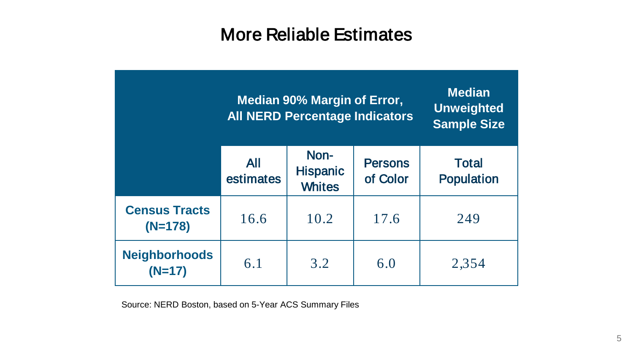### More Reliable Estimates

|                                   | Median 90% Margin of Error,<br><b>All NERD Percentage Indicators</b> |                                          |                            | <b>Median</b><br><b>Unweighted</b><br><b>Sample Size</b> |
|-----------------------------------|----------------------------------------------------------------------|------------------------------------------|----------------------------|----------------------------------------------------------|
|                                   | All<br>estimates                                                     | Non-<br><b>Hispanic</b><br><b>Whites</b> | <b>Persons</b><br>of Color | <b>Total</b><br><b>Population</b>                        |
| <b>Census Tracts</b><br>$(N=178)$ | 16.6                                                                 | 10.2                                     | 17.6                       | 249                                                      |
| <b>Neighborhoods</b><br>$(N=17)$  | 6.1                                                                  | 3.2                                      | 6.0                        | 2,354                                                    |

Source: NERD Boston, based on 5-Year ACS Summary Files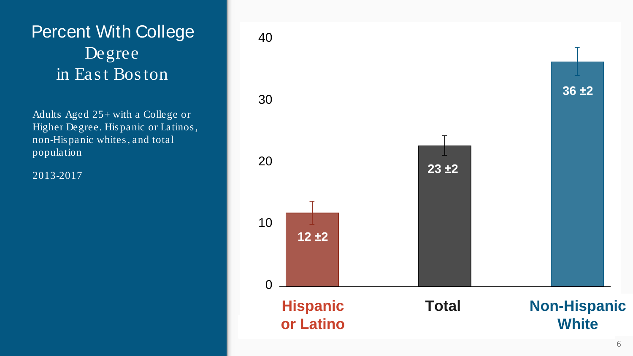### Percent With College Degree in Eas t Bos ton

Adults Aged 25+ with a College or Higher Degree. His panic or Latinos, non-His panic whites , and total population

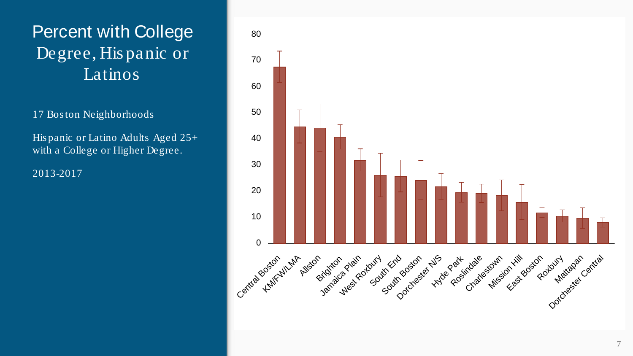### Percent with College Degree, His panic or Latinos

17 Bos ton Neighborhoods

His panic or Latino Adults Aged 25+ with a College or Higher Degree.

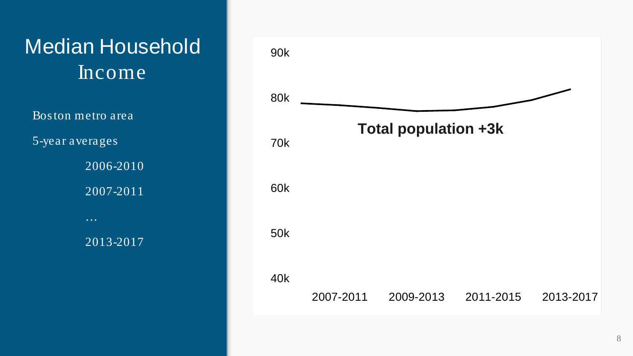

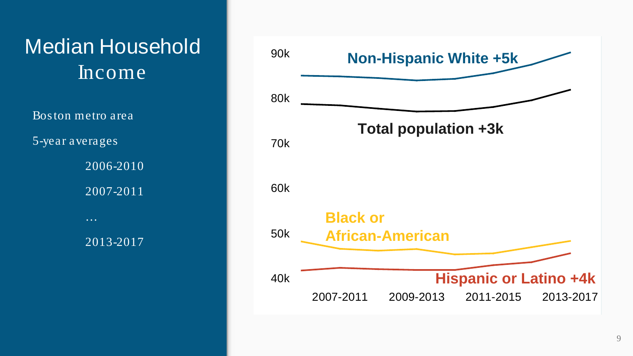

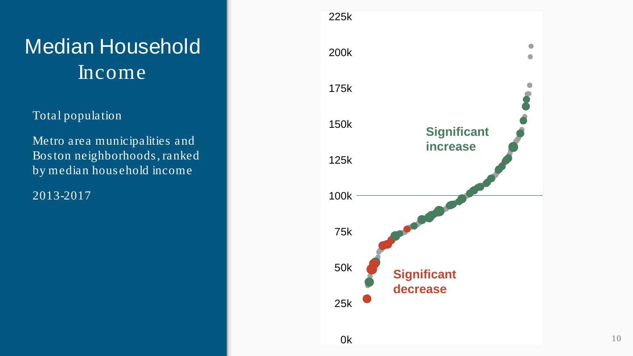#### Total population

Metro area municipalities and Boston neighborhoods, ranked by median household income

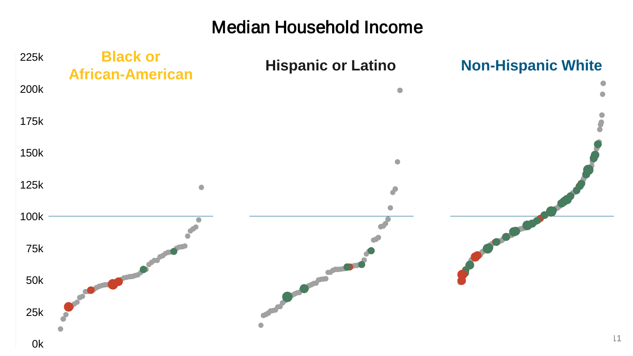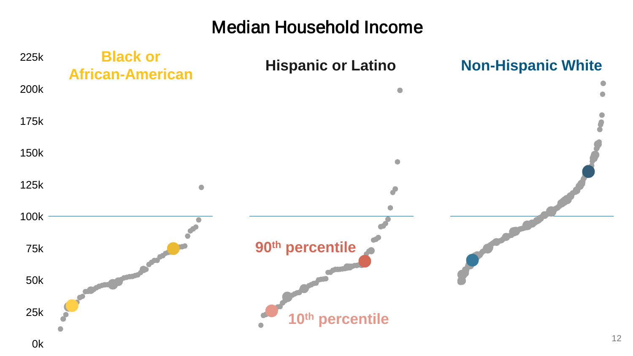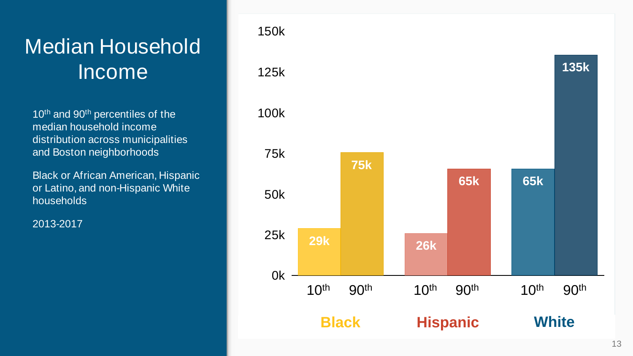10<sup>th</sup> and 90<sup>th</sup> percentiles of the median household income distribution across municipalities and Boston neighborhoods

Black or African American, Hispanic or Latino, and non-Hispanic White households

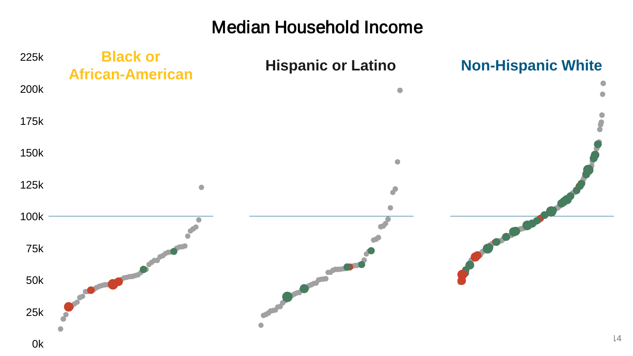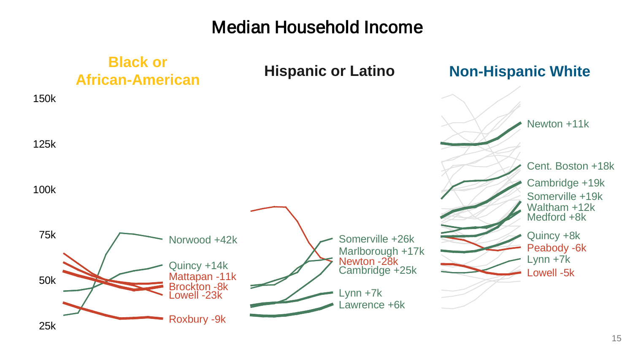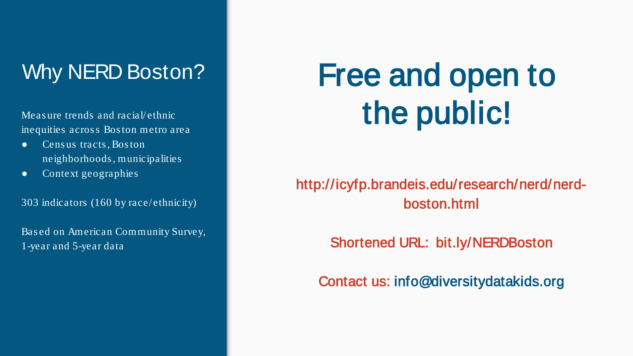### Why NERD Boston?

Meas ure trends and racial/ ethnic inequities across Boston metro area

- Cens us tracts , Bos ton neighborhoods , municipalities
- Context geographies

303 indicators (160 by race/ethnicity)

Based on American Community Survey, 1-year and 5-year data

# Free and open to the public!

http://icyfp.brandeis.edu/research/nerd/nerdboston.html

Shortened URL: bit.ly/NERDBoston

Contact us: info@diversitydatakids.org